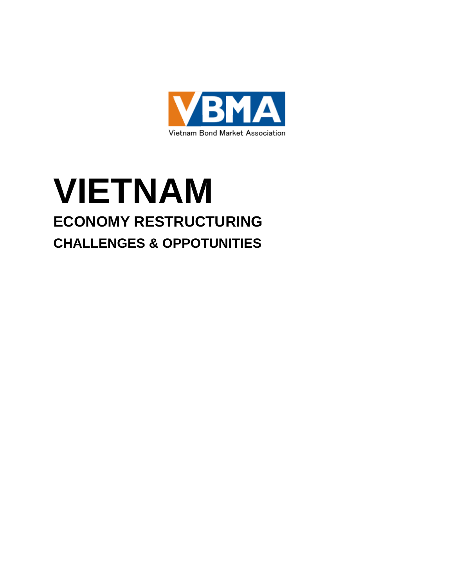

# **VIETNAM ECONOMY RESTRUCTURING CHALLENGES & OPPOTUNITIES**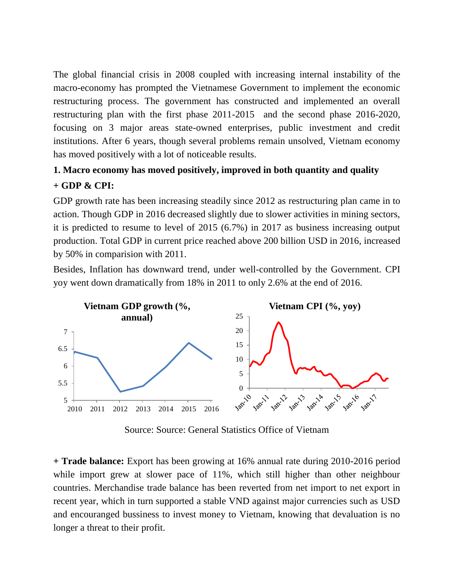The global financial crisis in 2008 coupled with increasing internal instability of the macro-economy has prompted the Vietnamese Government to implement the economic restructuring process. The government has constructed and implemented an overall restructuring plan with the first phase 2011-2015 and the second phase 2016-2020, focusing on 3 major areas state-owned enterprises, public investment and credit institutions. After 6 years, though several problems remain unsolved, Vietnam economy has moved positively with a lot of noticeable results.

## **1. Macro economy has moved positively, improved in both quantity and quality + GDP & CPI:**

GDP growth rate has been increasing steadily since 2012 as restructuring plan came in to action. Though GDP in 2016 decreased slightly due to slower activities in mining sectors, it is predicted to resume to level of 2015 (6.7%) in 2017 as business increasing output production. Total GDP in current price reached above 200 billion USD in 2016, increased by 50% in comparision with 2011.

Besides, Inflation has downward trend, under well-controlled by the Government. CPI yoy went down dramatically from 18% in 2011 to only 2.6% at the end of 2016.



Source: Source: General Statistics Office of Vietnam

**+ Trade balance:** Export has been growing at 16% annual rate during 2010-2016 period while import grew at slower pace of 11%, which still higher than other neighbour countries. Merchandise trade balance has been reverted from net import to net export in recent year, which in turn supported a stable VND against major currencies such as USD and encouranged bussiness to invest money to Vietnam, knowing that devaluation is no longer a threat to their profit.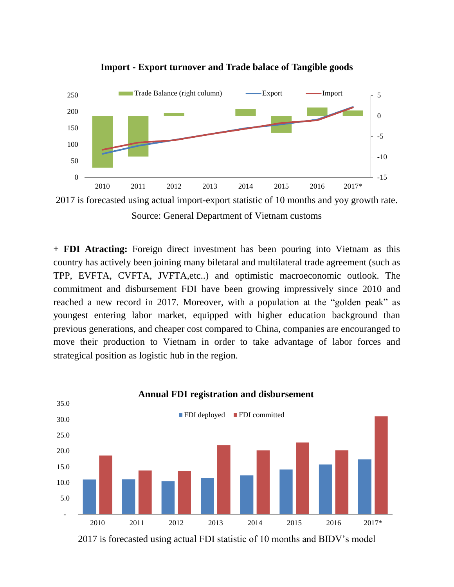

**Import - Export turnover and Trade balace of Tangible goods**

2017 is forecasted using actual import-export statistic of 10 months and yoy growth rate. Source: General Department of Vietnam customs

**+ FDI Atracting:** Foreign direct investment has been pouring into Vietnam as this country has actively been joining many biletaral and multilateral trade agreement (such as TPP, EVFTA, CVFTA, JVFTA,etc..) and optimistic macroeconomic outlook. The commitment and disbursement FDI have been growing impressively since 2010 and reached a new record in 2017. Moreover, with a population at the "golden peak" as youngest entering labor market, equipped with higher education background than previous generations, and cheaper cost compared to China, companies are encouranged to move their production to Vietnam in order to take advantage of labor forces and strategical position as logistic hub in the region.



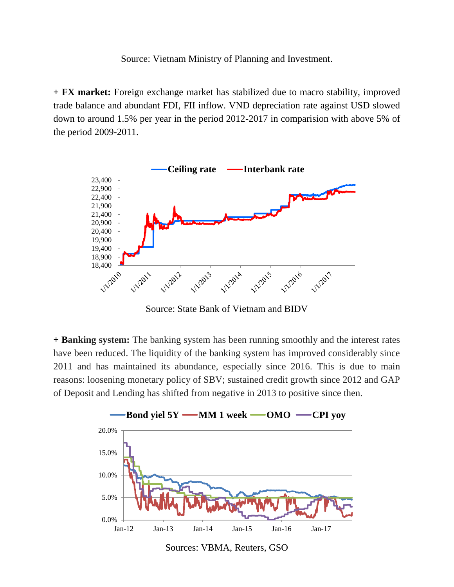Source: Vietnam Ministry of Planning and Investment.

**+ FX market:** Foreign exchange market has stabilized due to macro stability, improved trade balance and abundant FDI, FII inflow. VND depreciation rate against USD slowed down to around 1.5% per year in the period 2012-2017 in comparision with above 5% of the period 2009-2011.



Source: State Bank of Vietnam and BIDV

**+ Banking system:** The banking system has been running smoothly and the interest rates have been reduced. The liquidity of the banking system has improved considerably since 2011 and has maintained its abundance, especially since 2016. This is due to main reasons: loosening monetary policy of SBV; sustained credit growth since 2012 and GAP of Deposit and Lending has shifted from negative in 2013 to positive since then.



Sources: VBMA, Reuters, GSO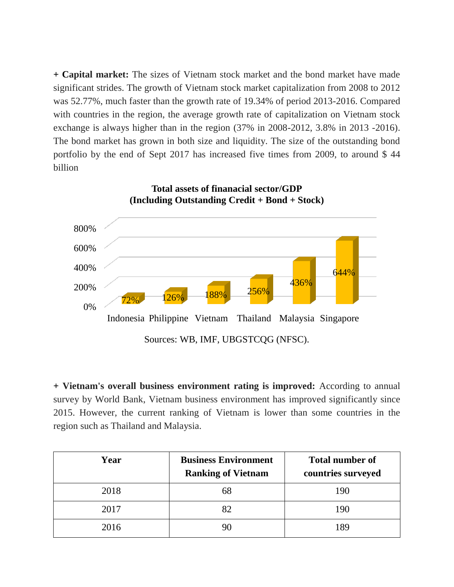**+ Capital market:** The sizes of Vietnam stock market and the bond market have made significant strides. The growth of Vietnam stock market capitalization from 2008 to 2012 was 52.77%, much faster than the growth rate of 19.34% of period 2013-2016. Compared with countries in the region, the average growth rate of capitalization on Vietnam stock exchange is always higher than in the region (37% in 2008-2012, 3.8% in 2013 -2016). The bond market has grown in both size and liquidity. The size of the outstanding bond portfolio by the end of Sept 2017 has increased five times from 2009, to around \$ 44 billion



**+ Vietnam's overall business environment rating is improved:** According to annual survey by World Bank, Vietnam business environment has improved significantly since 2015. However, the current ranking of Vietnam is lower than some countries in the region such as Thailand and Malaysia.

| Year | <b>Business Environment</b><br><b>Ranking of Vietnam</b> | <b>Total number of</b><br>countries surveyed |
|------|----------------------------------------------------------|----------------------------------------------|
| 2018 | 68                                                       | 190                                          |
| 2017 |                                                          | 190                                          |
| 2016 |                                                          | 189                                          |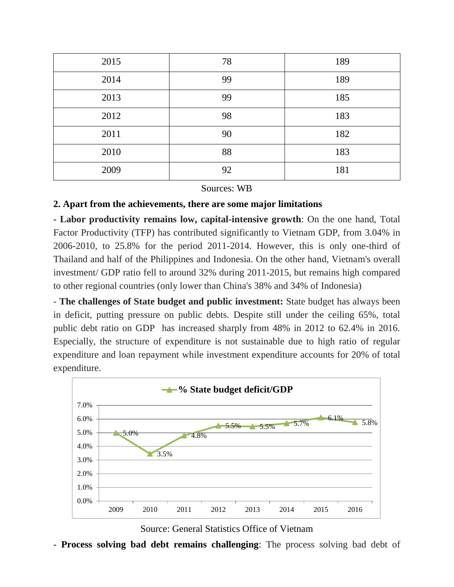| 2015 | 78 | 189 |
|------|----|-----|
| 2014 | 99 | 189 |
| 2013 | 99 | 185 |
| 2012 | 98 | 183 |
| 2011 | 90 | 182 |
| 2010 | 88 | 183 |
| 2009 | 92 | 181 |

#### Sources: WB

#### **2. Apart from the achievements, there are some major limitations**

**- Labor productivity remains low, capital-intensive growth**: On the one hand, Total Factor Productivity (TFP) has contributed significantly to Vietnam GDP, from 3.04% in 2006-2010, to 25.8% for the period 2011-2014. However, this is only one-third of Thailand and half of the Philippines and Indonesia. On the other hand, Vietnam's overall investment/ GDP ratio fell to around 32% during 2011-2015, but remains high compared to other regional countries (only lower than China's 38% and 34% of Indonesia)

- **The challenges of State budget and public investment:** State budget has always been in deficit, putting pressure on public debts. Despite still under the ceiling 65%, total public debt ratio on GDP has increased sharply from 48% in 2012 to 62.4% in 2016. Especially, the structure of expenditure is not sustainable due to high ratio of regular expenditure and loan repayment while investment expenditure accounts for 20% of total expenditure.



Source: General Statistics Office of Vietnam

- **Process solving bad debt remains challenging**: The process solving bad debt of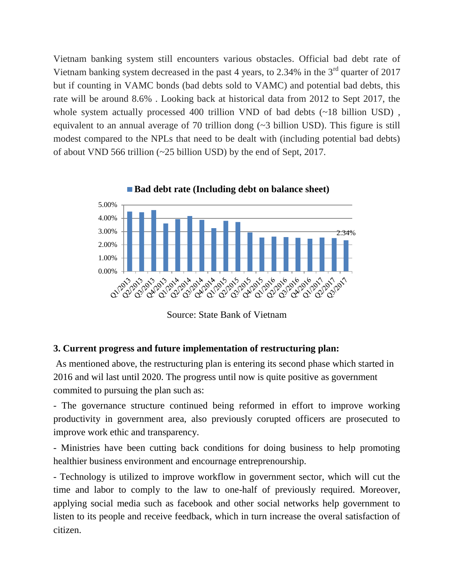Vietnam banking system still encounters various obstacles. Official bad debt rate of Vietnam banking system decreased in the past 4 years, to  $2.34\%$  in the  $3<sup>rd</sup>$  quarter of 2017 but if counting in VAMC bonds (bad debts sold to VAMC) and potential bad debts, this rate will be around 8.6% . Looking back at historical data from 2012 to Sept 2017, the whole system actually processed 400 trillion VND of bad debts (~18 billion USD), equivalent to an annual average of 70 trillion dong (~3 billion USD). This figure is still modest compared to the NPLs that need to be dealt with (including potential bad debts) of about VND 566 trillion (~25 billion USD) by the end of Sept, 2017.



Source: State Bank of Vietnam

### **3. Current progress and future implementation of restructuring plan:**

As mentioned above, the restructuring plan is entering its second phase which started in 2016 and wil last until 2020. The progress until now is quite positive as government commited to pursuing the plan such as:

- The governance structure continued being reformed in effort to improve working productivity in government area, also previously corupted officers are prosecuted to improve work ethic and transparency.

- Ministries have been cutting back conditions for doing business to help promoting healthier business environment and encournage entreprenourship.

- Technology is utilized to improve workflow in government sector, which will cut the time and labor to comply to the law to one-half of previously required. Moreover, applying social media such as facebook and other social networks help government to listen to its people and receive feedback, which in turn increase the overal satisfaction of citizen.